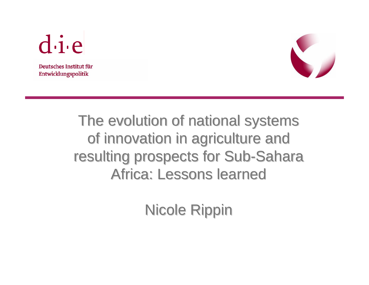

Deutsches Institut für Entwicklungspolitik



## The evolution of national systems of innovation in agriculture and resulting prospects for Sub-Sahara Africa: Lessons learned

Nicole Rippin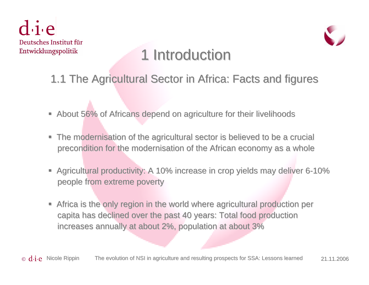$div$ Deutsches Institut für Entwicklungspolitik



## 1 Introduction

- 1.1 The Agricultural Sector in Africa: Facts and figures
- About 56% of Africans depend on agriculture for their livelihoods
- The modernisation of the agricultural sector is believed to be a crucial precondition for the modernisation of the African economy as a whole
- **Agricultural productivity: A 10% increase in crop yields may deliver 6-10% increase in crop yields may deliver 6-10%** people from extreme poverty people from extreme poverty
- ш Africa is the only region in the world where agricultural production per capita has declined over the past 40 years: Total food production increases annually at about 2%, population at about 3%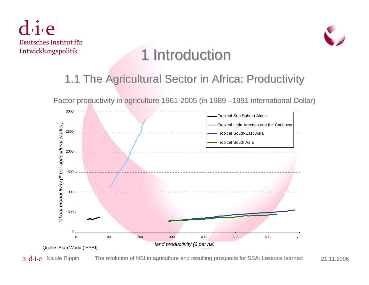



## 1 Introduction

#### 1.1 The Agricultural Sector in Africa: Productivity

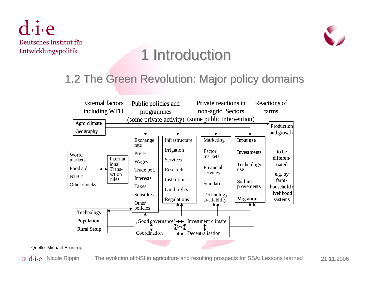$\mathbf{d}\cdot\mathbf{i}\cdot\mathbf{e}$ Deutsches Institut für Entwicklungspolitik



### 1 Introduction

#### 1.2 The Green Revolution: Major policy domains 1.2 The Green Revolution: Major policy domains



Quelle: Michael Brüntrup

© d.**i**.e Nicole Rippin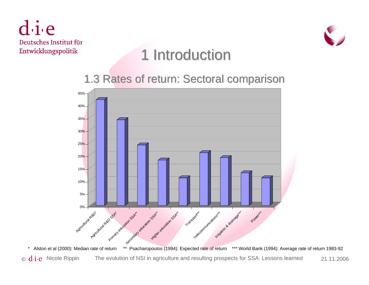$di$ e Deutsches Institut für Entwicklungspolitik



## 1 Introduction

#### 1.3 Rates of return: Sectoral comparison 1.3 Rates of return: Sectoral comparison

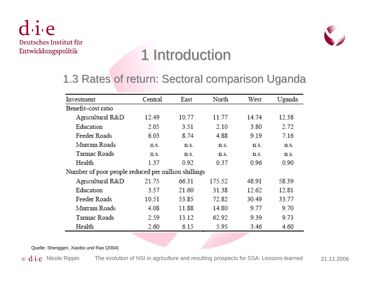die Deutsches Institut für Entwicklungspolitik



## 1 Introduction

#### 1.3 Rates of return: Sectoral comparison Uganda 1.3 Rates of return: Sectoral comparison Uganda

| Investment                                          | Central | East  | North  | West  | Uganda |
|-----------------------------------------------------|---------|-------|--------|-------|--------|
| Benefit-cost ratio                                  |         |       |        |       |        |
| Agricultural R&D                                    | 12.49   | 10.77 | 11.77  | 14.74 | 12.38  |
| Education                                           | 2.05    | 3.51  | 2.10   | 3.80  | 2.72   |
| Feeder Roads                                        | 6.03    | 8.74  | 4.88   | 9.19  | 7.16   |
| Murram Roads                                        | n.s.    | n.s.  | n.s.   | n.s.  | n.s.   |
| Tarmac Roads                                        | n.s.    | n.s.  | n.s.   | n.s.  | n.s.   |
| Health                                              | 1.37    | 0.92  | 0.37   | 0.96  | 0.90   |
| Number of poor people reduced per million shillings |         |       |        |       |        |
| Agricultural R&D                                    | 21.75   | 66.31 | 175.52 | 48.91 | 58.39  |
| Education                                           | 3.57    | 21.60 | 31.38  | 12.62 | 12.81  |
| Feeder Roads                                        | 10.51   | 53.85 | 72.82  | 30.49 | 33.77  |
| Murram Roads                                        | 4.08    | 11.88 | 14.80  | 9.77  | 9.70   |
| Tarmac Roads                                        | 2.59    | 13.12 | 62.92  | 9.39  | 9.73   |
| Health                                              | 2.60    | 6.15  | 5.95   | 3.46  | 4.60   |

Quelle: Shenggen, Xiaobo und Rao (2004)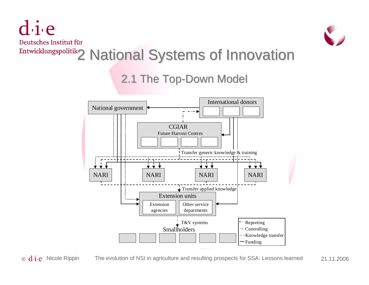$\mathbf{d}\cdot\mathbf{i}\cdot\mathbf{e}$ 



# 2 National Systems of Innovation 2 National Systems of Innovation

#### 2.1 The Top-Down Model



 $\odot$  **d.i.e** Nicole Rippin The evolution of NSI in agriculture and resulting prospects for SSA: Lessons learned 21.11.2006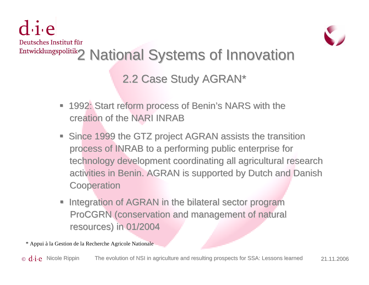$div$ 



# 2 National Systems of Innovation 2 National Systems of Innovation

2.2 Case Study AGRAN\*

- 1992: Start reform process of Benin's NARS with the creation of the NARI INRAB
- Since 1999 the GTZ project AGRAN assists the transition process of INRAB to a performing public enterprise for technology development coordinating all agricultural research activities in Benin. AGRAN is supported by Dutch and Danish **Cooperation**
- Integration of AGRAN in the bilateral sector program ProCGRN (conservation and management of natural resources) in 01/2004

\* Appui à la Gestion de la Recherche Agricole Nationale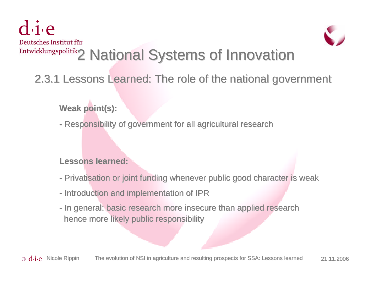$div$ 



# 2 National Systems of Innovation 2 National Systems of Innovation

2.3.1 Lessons Learned: The role of the national government

**Weak point(s): Weak point(s):**

- Responsibility of government for all agricultural research

#### **Lessons learned: Lessons learned:**

- Privatisation or joint funding whenever public good character is weak
- Introduction and implementation of IPR
- In general: basic research more insecure than applied research hence more likely public responsibility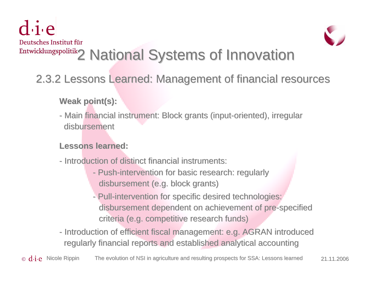$dive$ 



# 2 National Systems of Innovation 2 National Systems of Innovation

2.3.2 Lessons Learned: Management of financial resources 2.3.2 Lessons Learned: Management of financial resources

**Weak point(s): Weak point(s):**

- Main financial instrument: Block grants (input-oriented), irregular disbursement

#### **Lessons learned: Lessons learned:**

- Introduction of distinct financial instruments:
	- Push-intervention for basic research: regularly disbursement (e.g. block grants)
	- Pull-intervention for specific desired technologies: disbursement dependent on achievement of pre-specified criteria (e.g. competitive research funds)
- Introduction of efficient fiscal management: e.g. AGRAN introduced regularly financial reports and established analytical accounting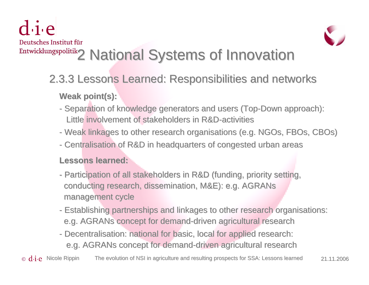$div$ 



# 2 National Systems of Innovation 2 National Systems of Innovation

#### 2.3.3 Lessons Learned: Responsibilities and networks 2.3.3 Lessons Learned: Responsibilities and networks **Weak point(s): Weak point(s):**

- Separation of knowledge generators and users (Top-Down approach): Little involvement of stakeholders in R&D-activities
- Weak linkages to other research organisations (e.g. NGOs, FBOs, CBOs)
- Centralisation of R&D in headquarters of congested urban areas

#### **Lessons learned: Lessons learned:**

- Participation of all stakeholders in R&D (funding, priority setting, conducting research, dissemination, M&E): e.g. AGRANs management cycle
- Establishing partnerships and linkages to other research organisations: e.g. AGRANs concept for demand-driven agricultural research
- Decentralisation: national for basic, local for applied research: e.g. AGRANs concept for demand-driven agricultural research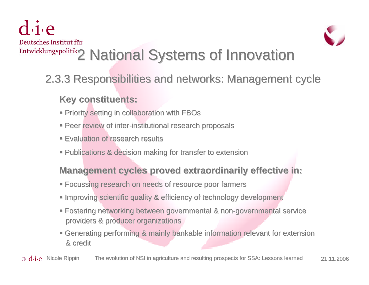$div$ 



# 2 National Systems of Innovation 2 National Systems of Innovation

#### 2.3.3 Responsibilities and networks: Management cycle 2.3.3 Responsibilities and networks: Management cycle

#### **Key constituents: Key constituents:**

- **Priority setting in collaboration with FBOs**
- **Peer review of inter-institutional research proposals rearch**
- **Evaluation of research results**
- **Publications & decision making for transfer to extension**

#### **Management cycles proved extraordinarily effective in:**

- **Focussing research on needs of resource poor farmers resource poor and resource poor**
- **Improving scientific quality & efficiency of technology development**
- **Fostering networking between governmental & non-governmental service** providers & producer organizations
- **E** Generating performing & mainly bankable information relevant for extension & credit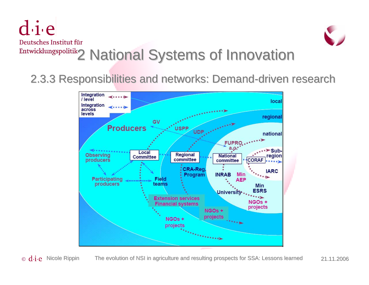$\overline{d}$  i.e



# 2 National Systems of Innovation 2 National Systems of Innovation

2.3.3 Responsibilities and networks: Demand-driven research

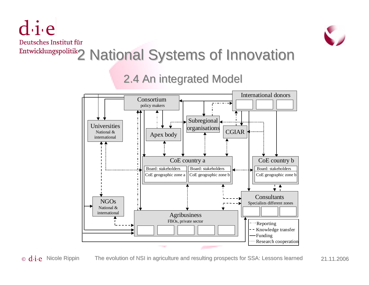$d$  i.e



## 2 National Systems of Innovation 2 National Systems of Innovation

#### 2.4 An integrated Model 2.4 An integrated Model